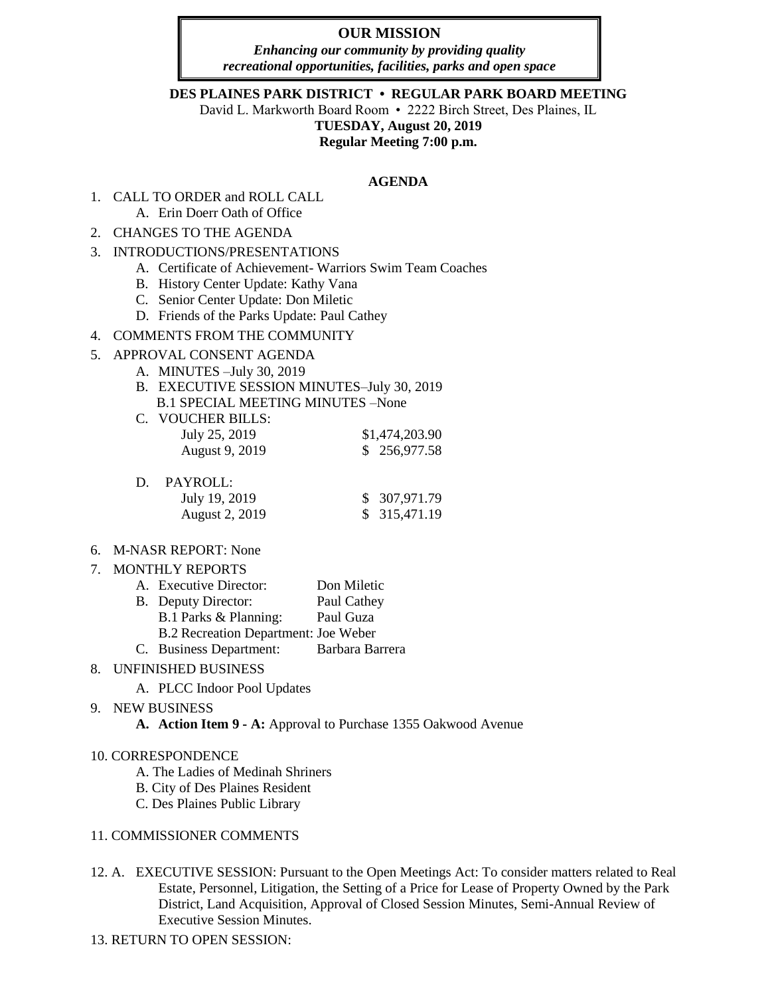## **OUR MISSION**

*Enhancing our community by providing quality recreational opportunities, facilities, parks and open space*

**DES PLAINES PARK DISTRICT • REGULAR PARK BOARD MEETING**

David L. Markworth Board Room • 2222 Birch Street, Des Plaines, IL

**TUESDAY, August 20, 2019**

**Regular Meeting 7:00 p.m.**

#### **AGENDA**

- 1. CALL TO ORDER and ROLL CALL A. Erin Doerr Oath of Office
- 2. CHANGES TO THE AGENDA
- 3. INTRODUCTIONS/PRESENTATIONS
	- A. Certificate of Achievement- Warriors Swim Team Coaches
	- B. History Center Update: Kathy Vana
	- C. Senior Center Update: Don Miletic
	- D. Friends of the Parks Update: Paul Cathey

### 4. COMMENTS FROM THE COMMUNITY

### 5. APPROVAL CONSENT AGENDA

- A. MINUTES –July 30, 2019
- B. EXECUTIVE SESSION MINUTES–July 30, 2019 B.1 SPECIAL MEETING MINUTES –None
- C. VOUCHER BILLS: July 25, 2019 \$1,474,203.90 August 9, 2019 \$ 256,977.58

| D. | PAYROLL:              |               |
|----|-----------------------|---------------|
|    | July 19, 2019         | \$ 307,971.79 |
|    | <b>August 2, 2019</b> | \$315,471.19  |

### 6. M-NASR REPORT: None

### 7. MONTHLY REPORTS

| A. Executive Director:               | Don Miletic     |
|--------------------------------------|-----------------|
| B. Deputy Director:                  | Paul Cathey     |
| B.1 Parks & Planning:                | Paul Guza       |
| B.2 Recreation Department: Joe Weber |                 |
| C. Business Department:              | Barbara Barrera |

# 8. UNFINISHED BUSINESS

A. PLCC Indoor Pool Updates

### 9. NEW BUSINESS

**A. Action Item 9 - A:** Approval to Purchase 1355 Oakwood Avenue

### 10. CORRESPONDENCE

- A. The Ladies of Medinah Shriners
- B. City of Des Plaines Resident
- C. Des Plaines Public Library

### 11. COMMISSIONER COMMENTS

- 12. A. EXECUTIVE SESSION: Pursuant to the Open Meetings Act: To consider matters related to Real Estate, Personnel, Litigation, the Setting of a Price for Lease of Property Owned by the Park District, Land Acquisition, Approval of Closed Session Minutes, Semi-Annual Review of Executive Session Minutes.
- 13. RETURN TO OPEN SESSION: